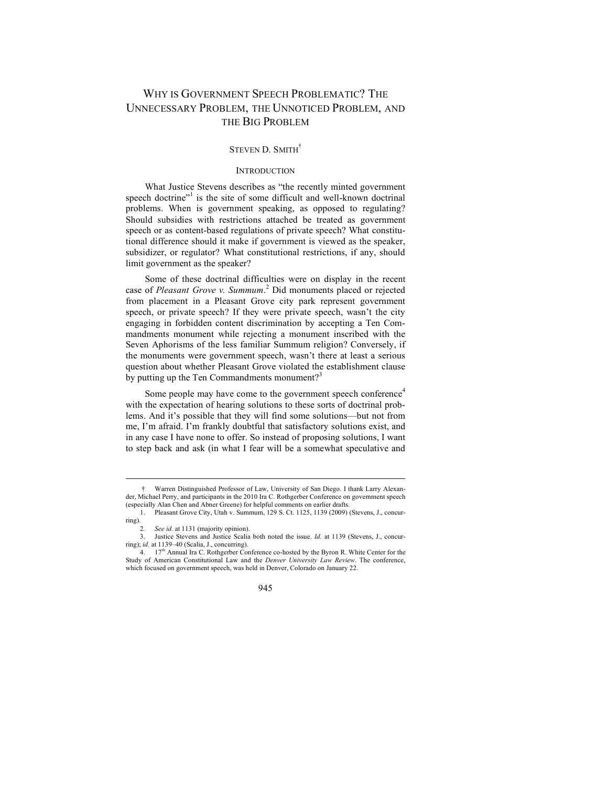# WHY IS GOVERNMENT SPEECH PROBLEMATIC? THE UNNECESSARY PROBLEM, THE UNNOTICED PROBLEM, AND THE BIG PROBLEM

## STEVEN D. SMITH<sup>†</sup>

## **INTRODUCTION**

What Justice Stevens describes as "the recently minted government speech doctrine"<sup>1</sup> is the site of some difficult and well-known doctrinal problems. When is government speaking, as opposed to regulating? Should subsidies with restrictions attached be treated as government speech or as content-based regulations of private speech? What constitutional difference should it make if government is viewed as the speaker, subsidizer, or regulator? What constitutional restrictions, if any, should limit government as the speaker?

Some of these doctrinal difficulties were on display in the recent case of *Pleasant Grove v. Summum*. 2 Did monuments placed or rejected from placement in a Pleasant Grove city park represent government speech, or private speech? If they were private speech, wasn't the city engaging in forbidden content discrimination by accepting a Ten Commandments monument while rejecting a monument inscribed with the Seven Aphorisms of the less familiar Summum religion? Conversely, if the monuments were government speech, wasn't there at least a serious question about whether Pleasant Grove violated the establishment clause by putting up the Ten Commandments monument?<sup>3</sup>

Some people may have come to the government speech conference<sup>4</sup> with the expectation of hearing solutions to these sorts of doctrinal problems. And it's possible that they will find some solutions—but not from me, I'm afraid. I'm frankly doubtful that satisfactory solutions exist, and in any case I have none to offer. So instead of proposing solutions, I want to step back and ask (in what I fear will be a somewhat speculative and

<sup>†</sup> Warren Distinguished Professor of Law, University of San Diego. I thank Larry Alexan-der, Michael Perry, and participants in the 2010 Ira C. Rothgerber Conference on government speech (especially Alan Chen and Abner Greene) for helpful comments on earlier drafts.

<sup>1.</sup> Pleasant Grove City, Utah v. Summum, 129 S. Ct. 1125, 1139 (2009) (Stevens, J., concurring).  $\frac{1}{2}$ 

<sup>2</sup>*. See id.* at 1131 (majority opinion).

Justice Stevens and Justice Scalia both noted the issue. *Id.* at 1139 (Stevens, J., concurring); *id.* at 1139–40 (Scalia, J., concurring).

<sup>4.</sup> 17th Annual Ira C. Rothgerber Conference co-hosted by the Byron R. White Center for the Study of American Constitutional Law and the *Denver University Law Review*. The conference, which focused on government speech, was held in Denver, Colorado on January 22.

<sup>945</sup>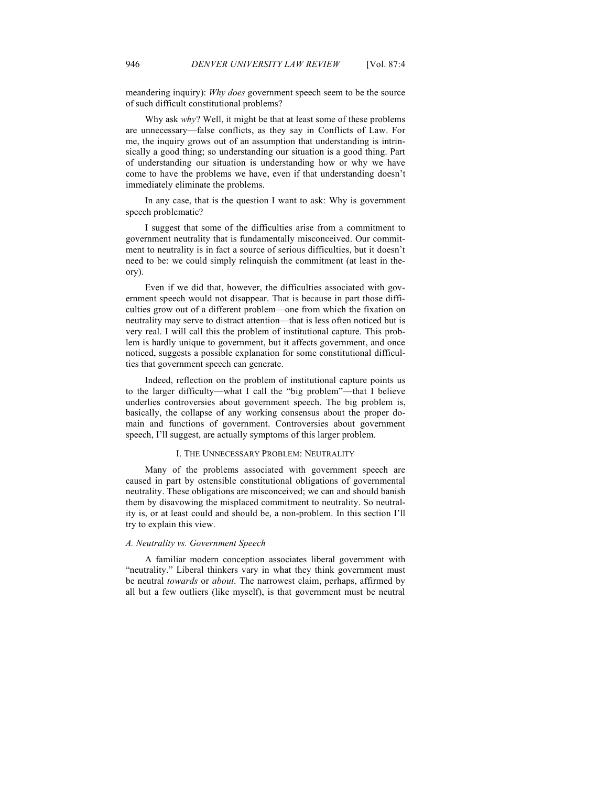meandering inquiry): *Why does* government speech seem to be the source of such difficult constitutional problems?

Why ask *why*? Well, it might be that at least some of these problems are unnecessary—false conflicts, as they say in Conflicts of Law. For me, the inquiry grows out of an assumption that understanding is intrinsically a good thing; so understanding our situation is a good thing. Part of understanding our situation is understanding how or why we have come to have the problems we have, even if that understanding doesn't immediately eliminate the problems.

In any case, that is the question I want to ask: Why is government speech problematic?

I suggest that some of the difficulties arise from a commitment to government neutrality that is fundamentally misconceived. Our commitment to neutrality is in fact a source of serious difficulties, but it doesn't need to be: we could simply relinquish the commitment (at least in theory).

Even if we did that, however, the difficulties associated with government speech would not disappear. That is because in part those difficulties grow out of a different problem—one from which the fixation on neutrality may serve to distract attention—that is less often noticed but is very real. I will call this the problem of institutional capture. This problem is hardly unique to government, but it affects government, and once noticed, suggests a possible explanation for some constitutional difficulties that government speech can generate.

Indeed, reflection on the problem of institutional capture points us to the larger difficulty—what I call the "big problem"—that I believe underlies controversies about government speech. The big problem is, basically, the collapse of any working consensus about the proper domain and functions of government. Controversies about government speech, I'll suggest, are actually symptoms of this larger problem.

#### I. THE UNNECESSARY PROBLEM: NEUTRALITY

Many of the problems associated with government speech are caused in part by ostensible constitutional obligations of governmental neutrality. These obligations are misconceived; we can and should banish them by disavowing the misplaced commitment to neutrality. So neutrality is, or at least could and should be, a non-problem. In this section I'll try to explain this view.

#### *A. Neutrality vs. Government Speech*

A familiar modern conception associates liberal government with "neutrality." Liberal thinkers vary in what they think government must be neutral *towards* or *about*. The narrowest claim, perhaps, affirmed by all but a few outliers (like myself), is that government must be neutral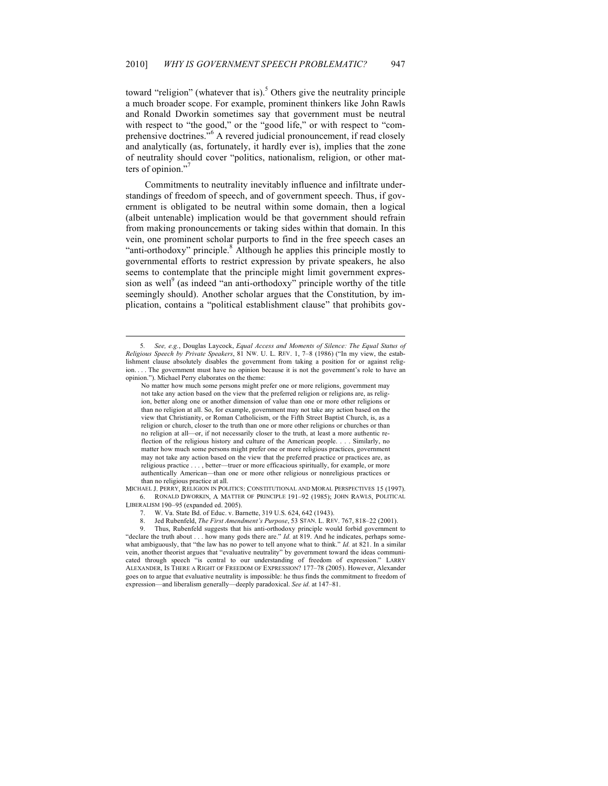toward "religion" (whatever that is).<sup>5</sup> Others give the neutrality principle a much broader scope. For example, prominent thinkers like John Rawls and Ronald Dworkin sometimes say that government must be neutral with respect to "the good," or the "good life," or with respect to "comprehensive doctrines."<sup>6</sup> A revered judicial pronouncement, if read closely and analytically (as, fortunately, it hardly ever is), implies that the zone of neutrality should cover "politics, nationalism, religion, or other matters of opinion."

Commitments to neutrality inevitably influence and infiltrate understandings of freedom of speech, and of government speech. Thus, if government is obligated to be neutral within some domain, then a logical (albeit untenable) implication would be that government should refrain from making pronouncements or taking sides within that domain. In this vein, one prominent scholar purports to find in the free speech cases an "anti-orthodoxy" principle.<sup>8</sup> Although he applies this principle mostly to governmental efforts to restrict expression by private speakers, he also seems to contemplate that the principle might limit government expression as well<sup>9</sup> (as indeed "an anti-orthodoxy" principle worthy of the title seemingly should). Another scholar argues that the Constitution, by implication, contains a "political establishment clause" that prohibits gov-

MICHAEL J. PERRY, RELIGION IN POLITICS: CONSTITUTIONAL AND MORAL PERSPECTIVES 15 (1997). 6. RONALD DWORKIN, A MATTER OF PRINCIPLE 191–92 (1985); JOHN RAWLS, POLITICAL LIBERALISM 190–95 (expanded ed. 2005).

W. Va. State Bd. of Educ. v. Barnette, 319 U.S. 624, 642 (1943).

8. Jed Rubenfeld, *The First Amendment's Purpose*, 53 STAN. L. REV. 767, 818–22 (2001).

Thus, Rubenfeld suggests that his anti-orthodoxy principle would forbid government to "declare the truth about . . . how many gods there are." *Id.* at 819. And he indicates, perhaps somewhat ambiguously, that "the law has no power to tell anyone what to think." *Id.* at 821. In a similar vein, another theorist argues that "evaluative neutrality" by government toward the ideas communicated through speech "is central to our understanding of freedom of expression." ALEXANDER, IS THERE A RIGHT OF FREEDOM OF EXPRESSION? 177–78 (2005). However, Alexander goes on to argue that evaluative neutrality is impossible: he thus finds the commitment to freedom of expression—and liberalism generally—deeply paradoxical. *See id.* at 147–81.

<sup>5</sup>*. See, e.g.*, Douglas Laycock, *Equal Access and Moments of Silence: The Equal Status of Religious Speech by Private Speakers*, 81 NW. U. L. REV. 1, 7–8 (1986) ("In my view, the establishment clause absolutely disables the government from taking a position for or against religion. . . . The government must have no opinion because it is not the government's role to have an opinion."). Michael Perry elaborates on the theme:

No matter how much some persons might prefer one or more religions, government may not take any action based on the view that the preferred religion or religions are, as religion, better along one or another dimension of value than one or more other religions or than no religion at all. So, for example, government may not take any action based on the view that Christianity, or Roman Catholicism, or the Fifth Street Baptist Church, is, as a religion or church, closer to the truth than one or more other religions or churches or than no religion at all—or, if not necessarily closer to the truth, at least a more authentic reflection of the religious history and culture of the American people. . . . Similarly, no matter how much some persons might prefer one or more religious practices, government may not take any action based on the view that the preferred practice or practices are, as religious practice . . . , better—truer or more efficacious spiritually, for example, or more authentically American—than one or more other religious or nonreligious practices or than no religious practice at all.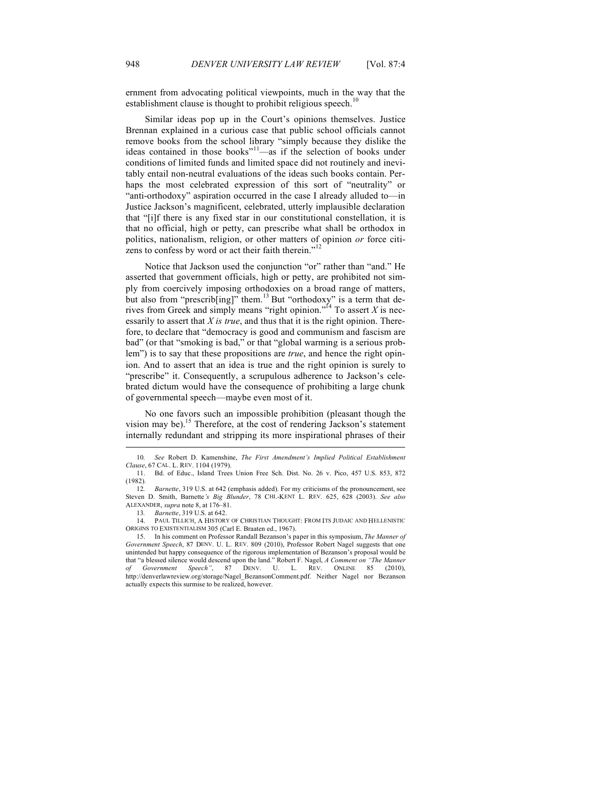ernment from advocating political viewpoints, much in the way that the establishment clause is thought to prohibit religious speech.<sup>10</sup>

Similar ideas pop up in the Court's opinions themselves. Justice Brennan explained in a curious case that public school officials cannot remove books from the school library "simply because they dislike the ideas contained in those books"<sup>11</sup>—as if the selection of books under conditions of limited funds and limited space did not routinely and inevitably entail non-neutral evaluations of the ideas such books contain. Perhaps the most celebrated expression of this sort of "neutrality" or "anti-orthodoxy" aspiration occurred in the case I already alluded to—in Justice Jackson's magnificent, celebrated, utterly implausible declaration that "[i]f there is any fixed star in our constitutional constellation, it is that no official, high or petty, can prescribe what shall be orthodox in politics, nationalism, religion, or other matters of opinion *or* force citizens to confess by word or act their faith therein."<sup>12</sup>

Notice that Jackson used the conjunction "or" rather than "and." He asserted that government officials, high or petty, are prohibited not simply from coercively imposing orthodoxies on a broad range of matters, but also from "prescrib $\left[\text{ing}\right]$ " them.<sup>13</sup> But "orthodoxy" is a term that derives from Greek and simply means "right opinion."<sup>14</sup> To assert  $X$  is necessarily to assert that *X is true*, and thus that it is the right opinion. Therefore, to declare that "democracy is good and communism and fascism are bad" (or that "smoking is bad," or that "global warming is a serious problem") is to say that these propositions are *true*, and hence the right opinion. And to assert that an idea is true and the right opinion is surely to "prescribe" it. Consequently, a scrupulous adherence to Jackson's celebrated dictum would have the consequence of prohibiting a large chunk of governmental speech—maybe even most of it.

No one favors such an impossible prohibition (pleasant though the vision may be).15 Therefore, at the cost of rendering Jackson's statement internally redundant and stripping its more inspirational phrases of their

14. PAUL TILLICH, A HISTORY OF CHRISTIAN THOUGHT: FROM ITS JUDAIC AND HELLENISTIC ORIGINS TO EXISTENTIALISM 305 (Carl E. Braaten ed., 1967).

15. In his comment on Professor Randall Bezanson's paper in this symposium, *The Manner of Government Speech*, 87 DENV. U. L. REV. 809 (2010), Professor Robert Nagel suggests that one unintended but happy consequence of the rigorous implementation of Bezanson's proposal would be that "a blessed silence would descend upon the land." Robert F. Nagel, *A Comment on "The Manner of Government Speech"*, 87 DENV. U. L. REV. ONLINE 85 (2010), http://denverlawreview.org/storage/Nagel\_BezansonComment.pdf. Neither Nagel nor Bezanson actually expects this surmise to be realized, however.

<sup>10</sup>*. See* Robert D. Kamenshine, *The First Amendment's Implied Political Establishment Clause*, 67 CAL. L. REV. 1104 (1979).

<sup>11.</sup> Bd. of Educ., Island Trees Union Free Sch. Dist. No. 26 v. Pico, 457 U.S. 853, 872  $(1982)$ .<br>12.

<sup>12</sup>*. Barnette*, 319 U.S. at 642 (emphasis added). For my criticisms of the pronouncement, see Steven D. Smith, Barnette*'s Big Blunder*, 78 CHI.-KENT L. REV. 625, 628 (2003). *See also* ALEXANDER, *supra* note 8, at 176–81.

<sup>13</sup>*. Barnette*, 319 U.S. at 642.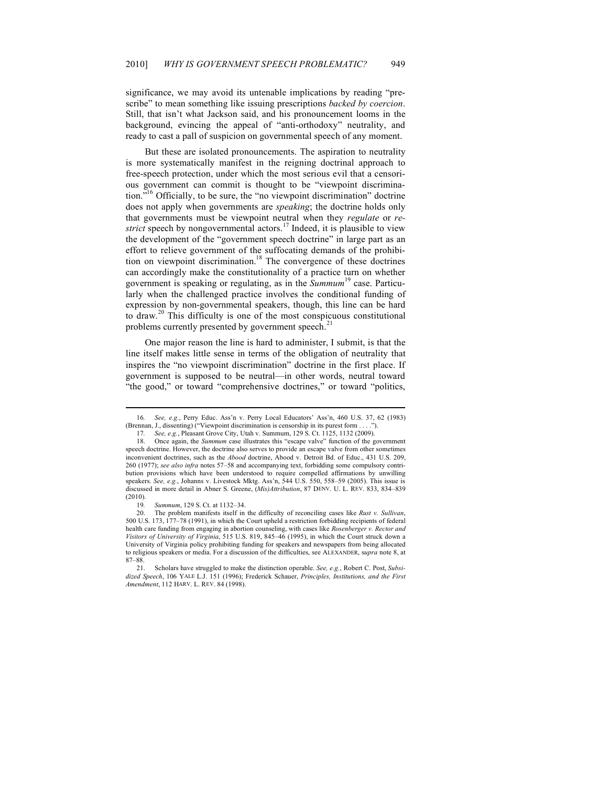significance, we may avoid its untenable implications by reading "prescribe" to mean something like issuing prescriptions *backed by coercion*. Still, that isn't what Jackson said, and his pronouncement looms in the background, evincing the appeal of "anti-orthodoxy" neutrality, and ready to cast a pall of suspicion on governmental speech of any moment.

But these are isolated pronouncements. The aspiration to neutrality is more systematically manifest in the reigning doctrinal approach to free-speech protection, under which the most serious evil that a censorious government can commit is thought to be "viewpoint discrimination."<sup>16</sup> Officially, to be sure, the "no viewpoint discrimination" doctrine does not apply when governments are *speaking*; the doctrine holds only that governments must be viewpoint neutral when they *regulate* or *restrict* speech by nongovernmental actors.<sup>17</sup> Indeed, it is plausible to view the development of the "government speech doctrine" in large part as an effort to relieve government of the suffocating demands of the prohibition on viewpoint discrimination.<sup>18</sup> The convergence of these doctrines can accordingly make the constitutionality of a practice turn on whether government is speaking or regulating, as in the *Summum*19 case. Particularly when the challenged practice involves the conditional funding of expression by non-governmental speakers, though, this line can be hard to draw.<sup>20</sup> This difficulty is one of the most conspicuous constitutional problems currently presented by government speech. $21$ 

One major reason the line is hard to administer, I submit, is that the line itself makes little sense in terms of the obligation of neutrality that inspires the "no viewpoint discrimination" doctrine in the first place. If government is supposed to be neutral—in other words, neutral toward "the good," or toward "comprehensive doctrines," or toward "politics,

<sup>16</sup>*. See, e.g.*, Perry Educ. Ass'n v. Perry Local Educators' Ass'n, 460 U.S. 37, 62 (1983) (Brennan, J., dissenting) ("Viewpoint discrimination is censorship in its purest form . . . .").

<sup>17</sup>*. See, e.g.*, Pleasant Grove City, Utah v. Summum, 129 S. Ct. 1125, 1132 (2009).

<sup>18.</sup> Once again, the *Summum* case illustrates this "escape valve" function of the government speech doctrine. However, the doctrine also serves to provide an escape valve from other sometimes inconvenient doctrines, such as the *Abood* doctrine, Abood v. Detroit Bd. of Educ., 431 U.S. 209, 260 (1977); *see also infra* notes 57–58 and accompanying text, forbidding some compulsory contribution provisions which have been understood to require compelled affirmations by unwilling speakers. *See, e.g.*, Johanns v. Livestock Mktg. Ass'n, 544 U.S. 550, 558–59 (2005). This issue is discussed in more detail in Abner S. Greene, (*Mis)Attribution*, 87 DENV. U. L. REV. 833, 834–839 (2010).

<sup>19</sup>*. Summum*, 129 S. Ct. at 1132–34.

<sup>20.</sup> The problem manifests itself in the difficulty of reconciling cases like *Rust v. Sullivan*, 500 U.S. 173, 177–78 (1991), in which the Court upheld a restriction forbidding recipients of federal health care funding from engaging in abortion counseling, with cases like *Rosenberger v. Rector and Visitors of University of Virginia*, 515 U.S. 819, 845–46 (1995), in which the Court struck down a University of Virginia policy prohibiting funding for speakers and newspapers from being allocated to religious speakers or media. For a discussion of the difficulties, see ALEXANDER, s*upra* note 8, at 87–88.

<sup>21.</sup> Scholars have struggled to make the distinction operable. *See, e.g.*, Robert C. Post, *Subsidized Speech*, 106 YALE L.J. 151 (1996); Frederick Schauer, *Principles, Institutions, and the First Amendment*, 112 HARV. L. REV. 84 (1998).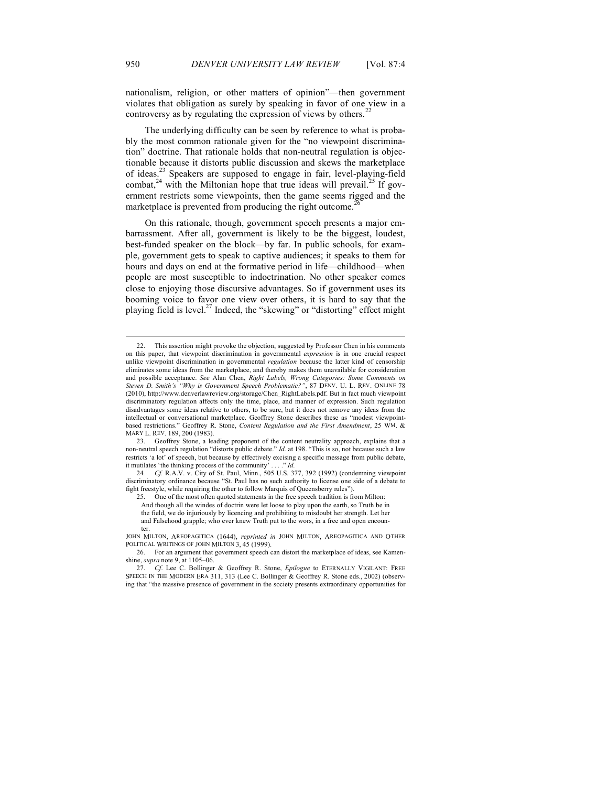nationalism, religion, or other matters of opinion"—then government violates that obligation as surely by speaking in favor of one view in a controversy as by regulating the expression of views by others.<sup>22</sup>

The underlying difficulty can be seen by reference to what is probably the most common rationale given for the "no viewpoint discrimination" doctrine. That rationale holds that non-neutral regulation is objectionable because it distorts public discussion and skews the marketplace of ideas.<sup>23</sup> Speakers are supposed to engage in fair, level-playing-field combat,<sup>24</sup> with the Miltonian hope that true ideas will prevail.<sup>25</sup> If government restricts some viewpoints, then the game seems rigged and the marketplace is prevented from producing the right outcome.<sup>2</sup>

On this rationale, though, government speech presents a major embarrassment. After all, government is likely to be the biggest, loudest, best-funded speaker on the block—by far. In public schools, for example, government gets to speak to captive audiences; it speaks to them for hours and days on end at the formative period in life—childhood—when people are most susceptible to indoctrination. No other speaker comes close to enjoying those discursive advantages. So if government uses its booming voice to favor one view over others, it is hard to say that the playing field is level.<sup>27</sup> Indeed, the "skewing" or "distorting" effect might

<sup>22.</sup> This assertion might provoke the objection, suggested by Professor Chen in his comments on this paper, that viewpoint discrimination in governmental *expression* is in one crucial respect unlike viewpoint discrimination in governmental *regulation* because the latter kind of censorship eliminates some ideas from the marketplace, and thereby makes them unavailable for consideration and possible acceptance. *See* Alan Chen, *Right Labels, Wrong Categories: Some Comments on Steven D. Smith's "Why is Government Speech Problematic?"*, 87 DENV. U. L. REV. ONLINE 78 (2010), http://www.denverlawreview.org/storage/Chen\_RightLabels.pdf. But in fact much viewpoint discriminatory regulation affects only the time, place, and manner of expression. Such regulation disadvantages some ideas relative to others, to be sure, but it does not remove any ideas from the intellectual or conversational marketplace. Geoffrey Stone describes these as "modest viewpointbased restrictions." Geoffrey R. Stone, *Content Regulation and the First Amendment*, 25 WM. & MARY L. REV. 189, 200 (1983).

<sup>23.</sup> Geoffrey Stone, a leading proponent of the content neutrality approach, explains that a non-neutral speech regulation "distorts public debate." *Id.* at 198. "This is so, not because such a law restricts 'a lot' of speech, but because by effectively excising a specific message from public debate, it mutilates 'the thinking process of the community'  $\dots$ ," *Id.* it mutilates 'the thinking process of the community'

<sup>24</sup>*. Cf.* R.A.V. v. City of St. Paul, Minn., 505 U.S. 377, 392 (1992) (condemning viewpoint discriminatory ordinance because "St. Paul has no such authority to license one side of a debate to fight freestyle, while requiring the other to follow Marquis of Queensberry rules").

<sup>25.</sup> One of the most often quoted statements in the free speech tradition is from Milton:

And though all the windes of doctrin were let loose to play upon the earth, so Truth be in the field, we do injuriously by licencing and prohibiting to misdoubt her strength. Let her and Falsehood grapple; who ever knew Truth put to the wors, in a free and open encoun-

ter. JOHN MILTON, AREOPAGITICA (1644), *reprinted in* JOHN MILTON, AREOPAGITICA AND OTHER POLITICAL WRITINGS OF JOHN MILTON 3, 45 (1999).

<sup>26.</sup> For an argument that government speech can distort the marketplace of ideas, see Kamenshine, *supra* note 9, at 1105–06.

<sup>27.</sup> *Cf*. Lee C. Bollinger & Geoffrey R. Stone, *Epilogue* to ETERNALLY VIGILANT: FREE SPEECH IN THE MODERN ERA 311, 313 (Lee C. Bollinger & Geoffrey R. Stone eds., 2002) (observing that "the massive presence of government in the society presents extraordinary opportunities for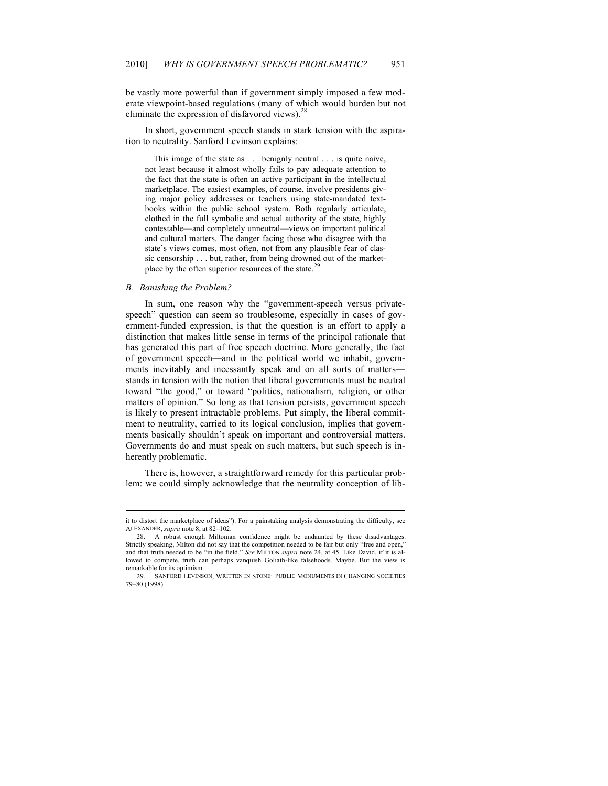be vastly more powerful than if government simply imposed a few moderate viewpoint-based regulations (many of which would burden but not eliminate the expression of disfavored views). $^{28}$ 

In short, government speech stands in stark tension with the aspiration to neutrality. Sanford Levinson explains:

This image of the state as . . . benignly neutral . . . is quite naive, not least because it almost wholly fails to pay adequate attention to the fact that the state is often an active participant in the intellectual marketplace. The easiest examples, of course, involve presidents giving major policy addresses or teachers using state-mandated textbooks within the public school system. Both regularly articulate, clothed in the full symbolic and actual authority of the state, highly contestable—and completely unneutral—views on important political and cultural matters. The danger facing those who disagree with the state's views comes, most often, not from any plausible fear of classic censorship . . . but, rather, from being drowned out of the marketplace by the often superior resources of the state.<sup>29</sup>

#### *B. Banishing the Problem?*

In sum, one reason why the "government-speech versus privatespeech" question can seem so troublesome, especially in cases of government-funded expression, is that the question is an effort to apply a distinction that makes little sense in terms of the principal rationale that has generated this part of free speech doctrine. More generally, the fact of government speech—and in the political world we inhabit, governments inevitably and incessantly speak and on all sorts of matters stands in tension with the notion that liberal governments must be neutral toward "the good," or toward "politics, nationalism, religion, or other matters of opinion." So long as that tension persists, government speech is likely to present intractable problems. Put simply, the liberal commitment to neutrality, carried to its logical conclusion, implies that governments basically shouldn't speak on important and controversial matters. Governments do and must speak on such matters, but such speech is inherently problematic.

There is, however, a straightforward remedy for this particular problem: we could simply acknowledge that the neutrality conception of lib-

it to distort the marketplace of ideas"). For a painstaking analysis demonstrating the difficulty, see ALEXANDER, *supra* note 8, at 82–102.

<sup>28.</sup> A robust enough Miltonian confidence might be undaunted by these disadvantages. Strictly speaking, Milton did not say that the competition needed to be fair but only "free and open," and that truth needed to be "in the field." *See* MILTON *supra* note 24, at 45. Like David, if it is allowed to compete, truth can perhaps vanquish Goliath-like falsehoods. Maybe. But the view is remarkable for its optimism.

<sup>29.</sup> SANFORD LEVINSON, WRITTEN IN STONE: PUBLIC MONUMENTS IN CHANGING SOCIETIES 79–80 (1998).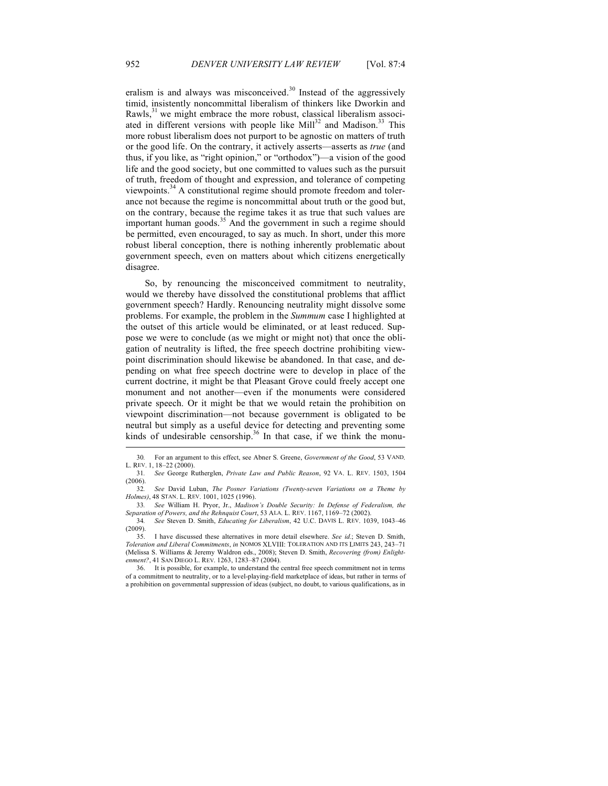eralism is and always was misconceived. $30$  Instead of the aggressively timid, insistently noncommittal liberalism of thinkers like Dworkin and Rawls, $31$  we might embrace the more robust, classical liberalism associated in different versions with people like Mill<sup>32</sup> and Madison.<sup>33</sup> This more robust liberalism does not purport to be agnostic on matters of truth or the good life. On the contrary, it actively asserts—asserts as *true* (and thus, if you like, as "right opinion," or "orthodox")—a vision of the good life and the good society, but one committed to values such as the pursuit of truth, freedom of thought and expression, and tolerance of competing viewpoints.<sup>34</sup> A constitutional regime should promote freedom and tolerance not because the regime is noncommittal about truth or the good but, on the contrary, because the regime takes it as true that such values are important human goods.<sup>35</sup> And the government in such a regime should be permitted, even encouraged, to say as much. In short, under this more robust liberal conception, there is nothing inherently problematic about government speech, even on matters about which citizens energetically disagree.

So, by renouncing the misconceived commitment to neutrality, would we thereby have dissolved the constitutional problems that afflict government speech? Hardly. Renouncing neutrality might dissolve some problems. For example, the problem in the *Summum* case I highlighted at the outset of this article would be eliminated, or at least reduced. Suppose we were to conclude (as we might or might not) that once the obligation of neutrality is lifted, the free speech doctrine prohibiting viewpoint discrimination should likewise be abandoned. In that case, and depending on what free speech doctrine were to develop in place of the current doctrine, it might be that Pleasant Grove could freely accept one monument and not another—even if the monuments were considered private speech. Or it might be that we would retain the prohibition on viewpoint discrimination—not because government is obligated to be neutral but simply as a useful device for detecting and preventing some kinds of undesirable censorship.<sup>36</sup> In that case, if we think the monu-

<sup>30</sup>*.* For an argument to this effect, see Abner S. Greene, *Government of the Good*, 53 VAND. L. REV. 1, 18–22 (2000).

<sup>31</sup>*. See* George Rutherglen, *Private Law and Public Reason*, 92 VA. L. REV. 1503, 1504 (2006).

<sup>32</sup>*. See* David Luban, *The Posner Variations (Twenty-seven Variations on a Theme by Holmes)*, 48 STAN. L. REV. 1001, 1025 (1996).

<sup>33</sup>*. See* William H. Pryor, Jr., *Madison's Double Security: In Defense of Federalism, the Separation of Powers, and the Rehnquist Court*, 53 ALA. L. REV. 1167, 1169–72 (2002).

<sup>34</sup>*. See* Steven D. Smith, *Educating for Liberalism*, 42 U.C. DAVIS L. REV. 1039, 1043–46 (2009).

<sup>35.</sup> I have discussed these alternatives in more detail elsewhere. *See id.*; Steven D. Smith, *Toleration and Liberal Commitments*, *in* NOMOS XLVIII: TOLERATION AND ITS LIMITS 243, 243–71 (Melissa S. Williams & Jeremy Waldron eds., 2008); Steven D. Smith, *Recovering (from) Enlightenment?*, 41 SAN DIEGO L. REV. 1263, 1283–87 (2004).

<sup>36.</sup> It is possible, for example, to understand the central free speech commitment not in terms of a commitment to neutrality, or to a level-playing-field marketplace of ideas, but rather in terms of a prohibition on governmental suppression of ideas (subject, no doubt, to various qualifications, as in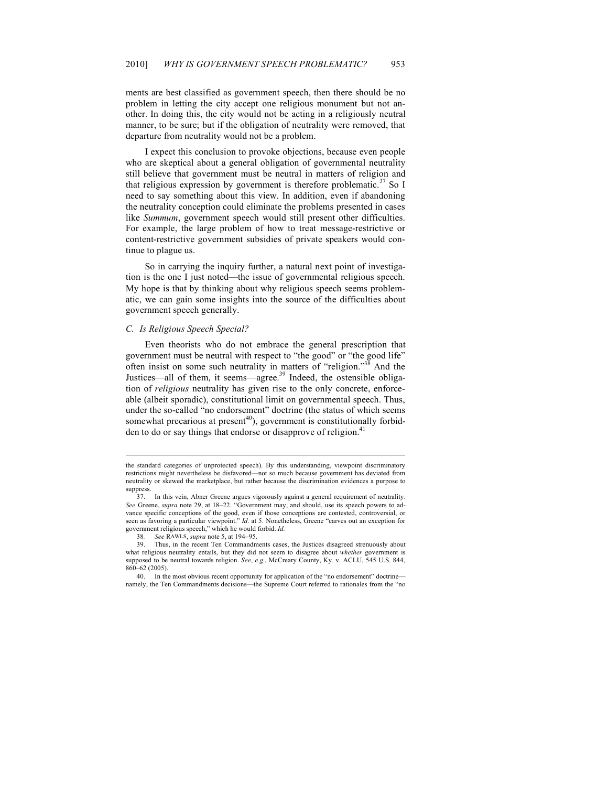ments are best classified as government speech, then there should be no problem in letting the city accept one religious monument but not another. In doing this, the city would not be acting in a religiously neutral manner, to be sure; but if the obligation of neutrality were removed, that departure from neutrality would not be a problem.

I expect this conclusion to provoke objections, because even people who are skeptical about a general obligation of governmental neutrality still believe that government must be neutral in matters of religion and that religious expression by government is therefore problematic.<sup>37</sup> So I need to say something about this view. In addition, even if abandoning the neutrality conception could eliminate the problems presented in cases like *Summum*, government speech would still present other difficulties. For example, the large problem of how to treat message-restrictive or content-restrictive government subsidies of private speakers would continue to plague us.

So in carrying the inquiry further, a natural next point of investigation is the one I just noted—the issue of governmental religious speech. My hope is that by thinking about why religious speech seems problematic, we can gain some insights into the source of the difficulties about government speech generally.

#### *C. Is Religious Speech Special?*

Even theorists who do not embrace the general prescription that government must be neutral with respect to "the good" or "the good life" often insist on some such neutrality in matters of "religion."<sup>38</sup> And the Justices—all of them, it seems—agree.<sup>39</sup> Indeed, the ostensible obligation of *religious* neutrality has given rise to the only concrete, enforceable (albeit sporadic), constitutional limit on governmental speech. Thus, under the so-called "no endorsement" doctrine (the status of which seems somewhat precarious at present<sup>40</sup>), government is constitutionally forbidden to do or say things that endorse or disapprove of religion.<sup>41</sup>

the standard categories of unprotected speech). By this understanding, viewpoint discriminatory restrictions might nevertheless be disfavored—not so much because government has deviated from neutrality or skewed the marketplace, but rather because the discrimination evidences a purpose to suppress.

<sup>37.</sup> In this vein, Abner Greene argues vigorously against a general requirement of neutrality. *See* Greene, *supra* note 29, at 18–22. "Government may, and should, use its speech powers to advance specific conceptions of the good, even if those conceptions are contested, controversial, or seen as favoring a particular viewpoint." *Id.* at 5. Nonetheless, Greene "carves out an exception for government religious speech," which he would forbid. *Id.*

<sup>38</sup>*. See* RAWLS, *supra* note 5, at 194–95.

<sup>39.</sup> Thus, in the recent Ten Commandments cases, the Justices disagreed strenuously about what religious neutrality entails, but they did not seem to disagree about *whether* government is supposed to be neutral towards religion. *See*, *e.g.*, McCreary County, Ky. v. ACLU, 545 U.S. 844, 860–62 (2005).

<sup>40.</sup> In the most obvious recent opportunity for application of the "no endorsement" doctrine namely, the Ten Commandments decisions—the Supreme Court referred to rationales from the "no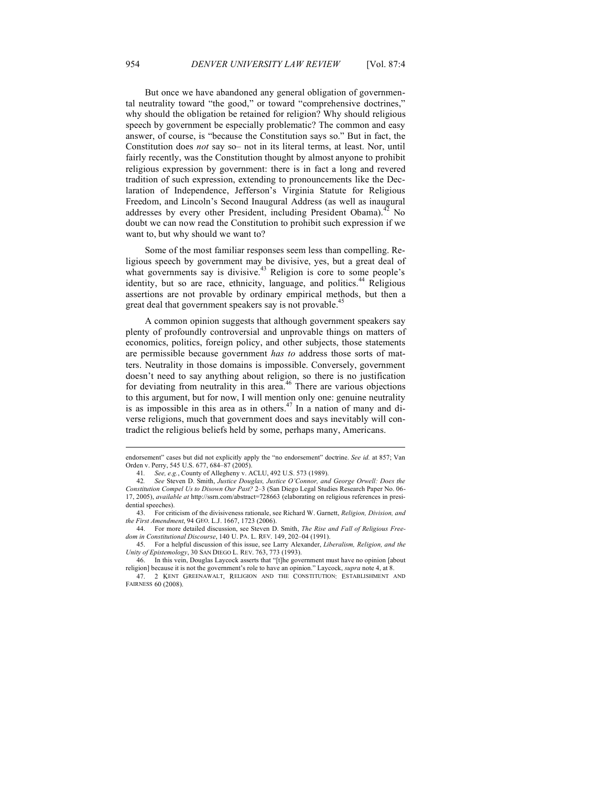But once we have abandoned any general obligation of governmental neutrality toward "the good," or toward "comprehensive doctrines," why should the obligation be retained for religion? Why should religious speech by government be especially problematic? The common and easy answer, of course, is "because the Constitution says so." But in fact, the Constitution does *not* say so– not in its literal terms, at least. Nor, until fairly recently, was the Constitution thought by almost anyone to prohibit religious expression by government: there is in fact a long and revered tradition of such expression, extending to pronouncements like the Declaration of Independence, Jefferson's Virginia Statute for Religious Freedom, and Lincoln's Second Inaugural Address (as well as inaugural addresses by every other President, including President Obama).<sup>42</sup> No doubt we can now read the Constitution to prohibit such expression if we want to, but why should we want to?

Some of the most familiar responses seem less than compelling. Religious speech by government may be divisive, yes, but a great deal of what governments say is divisive.<sup>43</sup> Religion is core to some people's identity, but so are race, ethnicity, language, and politics.<sup>44</sup> Religious assertions are not provable by ordinary empirical methods, but then a great deal that government speakers say is not provable.<sup>45</sup>

A common opinion suggests that although government speakers say plenty of profoundly controversial and unprovable things on matters of economics, politics, foreign policy, and other subjects, those statements are permissible because government *has to* address those sorts of matters. Neutrality in those domains is impossible. Conversely, government doesn't need to say anything about religion, so there is no justification for deviating from neutrality in this area.<sup>46</sup> There are various objections to this argument, but for now, I will mention only one: genuine neutrality is as impossible in this area as in others.<sup>47</sup> In a nation of many and diverse religions, much that government does and says inevitably will contradict the religious beliefs held by some, perhaps many, Americans.

endorsement" cases but did not explicitly apply the "no endorsement" doctrine. *See id.* at 857; Van Orden v. Perry, 545 U.S. 677, 684–87 (2005).

<sup>41</sup>*. See, e.g.*, County of Allegheny v. ACLU, 492 U.S. 573 (1989).

<sup>42</sup>*. See* Steven D. Smith, *Justice Douglas, Justice O'Connor, and George Orwell: Does the Constitution Compel Us to Disown Our Past?* 2–3 (San Diego Legal Studies Research Paper No. 06- 17, 2005), *available at* http://ssrn.com/abstract=728663 (elaborating on religious references in presidential speeches).

<sup>43.</sup> For criticism of the divisiveness rationale, see Richard W. Garnett, *Religion, Division, and the First Amendment*, 94 GEO. L.J. 1667, 1723 (2006).

<sup>44.</sup> For more detailed discussion, see Steven D. Smith, *The Rise and Fall of Religious Freedom in Constitutional Discourse*, 140 U. PA. L. REV. 149, 202–04 (1991).

<sup>45.</sup> For a helpful discussion of this issue, see Larry Alexander, *Liberalism, Religion, and the Unity of Epistemology*, 30 SAN DIEGO L. REV. 763, 773 (1993).

In this vein, Douglas Laycock asserts that "[t]he government must have no opinion [about religion] because it is not the government's role to have an opinion." Laycock, *supra* note 4, at 8.

<sup>47.</sup> 2 KENT GREENAWALT, RELIGION AND THE CONSTITUTION: ESTABLISHMENT AND FAIRNESS 60 (2008).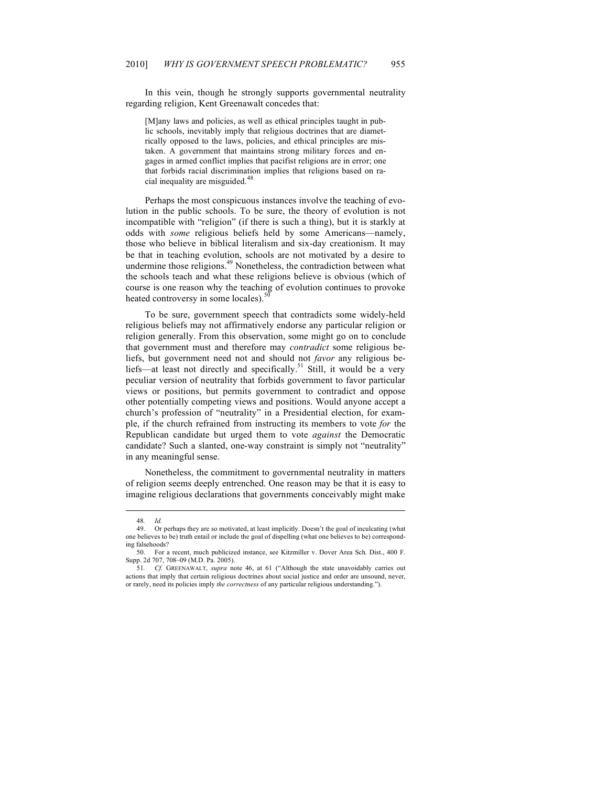In this vein, though he strongly supports governmental neutrality regarding religion, Kent Greenawalt concedes that:

[M]any laws and policies, as well as ethical principles taught in public schools, inevitably imply that religious doctrines that are diametrically opposed to the laws, policies, and ethical principles are mistaken. A government that maintains strong military forces and engages in armed conflict implies that pacifist religions are in error; one that forbids racial discrimination implies that religions based on racial inequality are misguided.<sup>48</sup>

Perhaps the most conspicuous instances involve the teaching of evolution in the public schools. To be sure, the theory of evolution is not incompatible with "religion" (if there is such a thing), but it is starkly at odds with *some* religious beliefs held by some Americans—namely, those who believe in biblical literalism and six-day creationism. It may be that in teaching evolution, schools are not motivated by a desire to undermine those religions.<sup>49</sup> Nonetheless, the contradiction between what the schools teach and what these religions believe is obvious (which of course is one reason why the teaching of evolution continues to provoke heated controversy in some locales).<sup>50</sup>

To be sure, government speech that contradicts some widely-held religious beliefs may not affirmatively endorse any particular religion or religion generally. From this observation, some might go on to conclude that government must and therefore may *contradict* some religious beliefs, but government need not and should not *favor* any religious beliefs—at least not directly and specifically.<sup>51</sup> Still, it would be a very peculiar version of neutrality that forbids government to favor particular views or positions, but permits government to contradict and oppose other potentially competing views and positions. Would anyone accept a church's profession of "neutrality" in a Presidential election, for example, if the church refrained from instructing its members to vote *for* the Republican candidate but urged them to vote *against* the Democratic candidate? Such a slanted, one-way constraint is simply not "neutrality" in any meaningful sense.

Nonetheless, the commitment to governmental neutrality in matters of religion seems deeply entrenched. One reason may be that it is easy to imagine religious declarations that governments conceivably might make

<sup>48</sup>*. Id.*

<sup>49.</sup> Or perhaps they are so motivated, at least implicitly. Doesn't the goal of inculcating (what one believes to be) truth entail or include the goal of dispelling (what one believes to be) corresponding falsehoods?

<sup>50.</sup> For a recent, much publicized instance, see Kitzmiller v. Dover Area Sch. Dist., 400 F. Supp. 2d 707, 708–09 (M.D. Pa. 2005).

<sup>51</sup>*. Cf.* GREENAWALT, *supra* note 46, at 61 ("Although the state unavoidably carries out actions that imply that certain religious doctrines about social justice and order are unsound, never, or rarely, need its policies imply *the correctness* of any particular religious understanding.").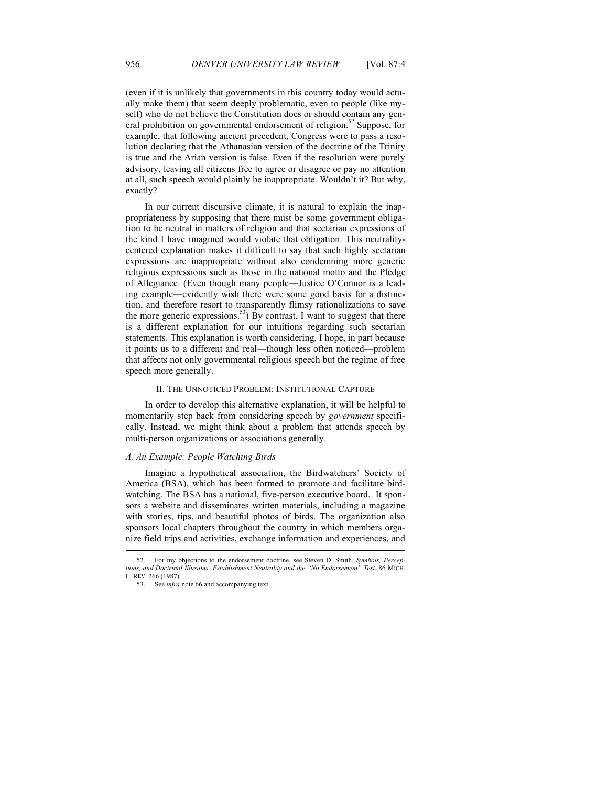(even if it is unlikely that governments in this country today would actually make them) that seem deeply problematic, even to people (like myself) who do not believe the Constitution does or should contain any general prohibition on governmental endorsement of religion.<sup>52</sup> Suppose, for example, that following ancient precedent, Congress were to pass a resolution declaring that the Athanasian version of the doctrine of the Trinity is true and the Arian version is false. Even if the resolution were purely advisory, leaving all citizens free to agree or disagree or pay no attention at all, such speech would plainly be inappropriate. Wouldn't it? But why, exactly?

In our current discursive climate, it is natural to explain the inappropriateness by supposing that there must be some government obligation to be neutral in matters of religion and that sectarian expressions of the kind I have imagined would violate that obligation. This neutralitycentered explanation makes it difficult to say that such highly sectarian expressions are inappropriate without also condemning more generic religious expressions such as those in the national motto and the Pledge of Allegiance. (Even though many people—Justice O'Connor is a leading example—evidently wish there were some good basis for a distinction, and therefore resort to transparently flimsy rationalizations to save the more generic expressions.<sup>53</sup>) By contrast, I want to suggest that there is a different explanation for our intuitions regarding such sectarian statements. This explanation is worth considering, I hope, in part because it points us to a different and real—though less often noticed—problem that affects not only governmental religious speech but the regime of free speech more generally.

#### II. THE UNNOTICED PROBLEM: INSTITUTIONAL CAPTURE

In order to develop this alternative explanation, it will be helpful to momentarily step back from considering speech by *government* specifically. Instead, we might think about a problem that attends speech by multi-person organizations or associations generally.

#### *A. An Example: People Watching Birds*

Imagine a hypothetical association, the Birdwatchers' Society of America (BSA), which has been formed to promote and facilitate birdwatching. The BSA has a national, five-person executive board. It sponsors a website and disseminates written materials, including a magazine with stories, tips, and beautiful photos of birds. The organization also sponsors local chapters throughout the country in which members organize field trips and activities, exchange information and experiences, and

<sup>52.</sup> For my objections to the endorsement doctrine, see Steven D. Smith, *Symbols, Perceptions, and Doctrinal Illusions: Establishment Neutrality and the "No Endorsement" Test*, 86 MICH. L. REV. 266 (1987).

<sup>53.</sup> See *infra* note 66 and accompanying text.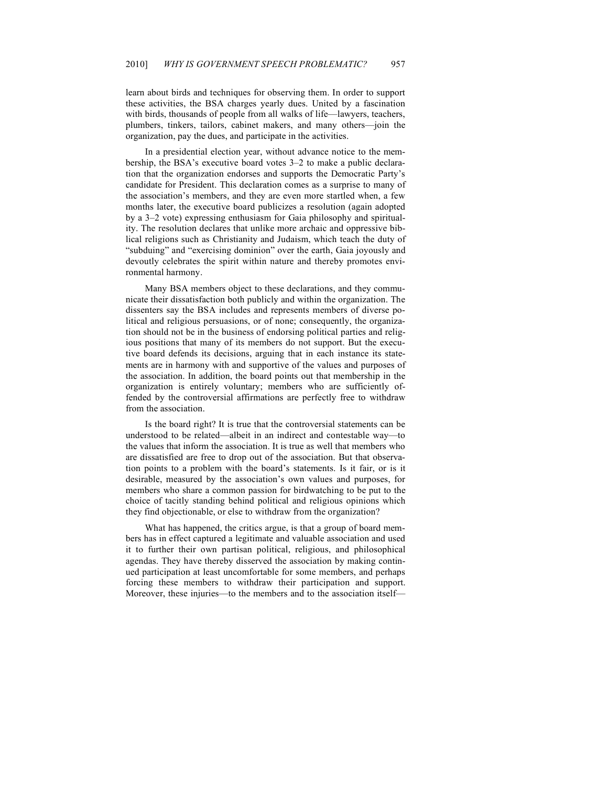learn about birds and techniques for observing them. In order to support these activities, the BSA charges yearly dues. United by a fascination with birds, thousands of people from all walks of life—lawyers, teachers, plumbers, tinkers, tailors, cabinet makers, and many others—join the organization, pay the dues, and participate in the activities.

In a presidential election year, without advance notice to the membership, the BSA's executive board votes 3–2 to make a public declaration that the organization endorses and supports the Democratic Party's candidate for President. This declaration comes as a surprise to many of the association's members, and they are even more startled when, a few months later, the executive board publicizes a resolution (again adopted by a 3–2 vote) expressing enthusiasm for Gaia philosophy and spirituality. The resolution declares that unlike more archaic and oppressive biblical religions such as Christianity and Judaism, which teach the duty of "subduing" and "exercising dominion" over the earth, Gaia joyously and devoutly celebrates the spirit within nature and thereby promotes environmental harmony.

Many BSA members object to these declarations, and they communicate their dissatisfaction both publicly and within the organization. The dissenters say the BSA includes and represents members of diverse political and religious persuasions, or of none; consequently, the organization should not be in the business of endorsing political parties and religious positions that many of its members do not support. But the executive board defends its decisions, arguing that in each instance its statements are in harmony with and supportive of the values and purposes of the association. In addition, the board points out that membership in the organization is entirely voluntary; members who are sufficiently offended by the controversial affirmations are perfectly free to withdraw from the association.

Is the board right? It is true that the controversial statements can be understood to be related—albeit in an indirect and contestable way—to the values that inform the association. It is true as well that members who are dissatisfied are free to drop out of the association. But that observation points to a problem with the board's statements. Is it fair, or is it desirable, measured by the association's own values and purposes, for members who share a common passion for birdwatching to be put to the choice of tacitly standing behind political and religious opinions which they find objectionable, or else to withdraw from the organization?

What has happened, the critics argue, is that a group of board members has in effect captured a legitimate and valuable association and used it to further their own partisan political, religious, and philosophical agendas. They have thereby disserved the association by making continued participation at least uncomfortable for some members, and perhaps forcing these members to withdraw their participation and support. Moreover, these injuries—to the members and to the association itself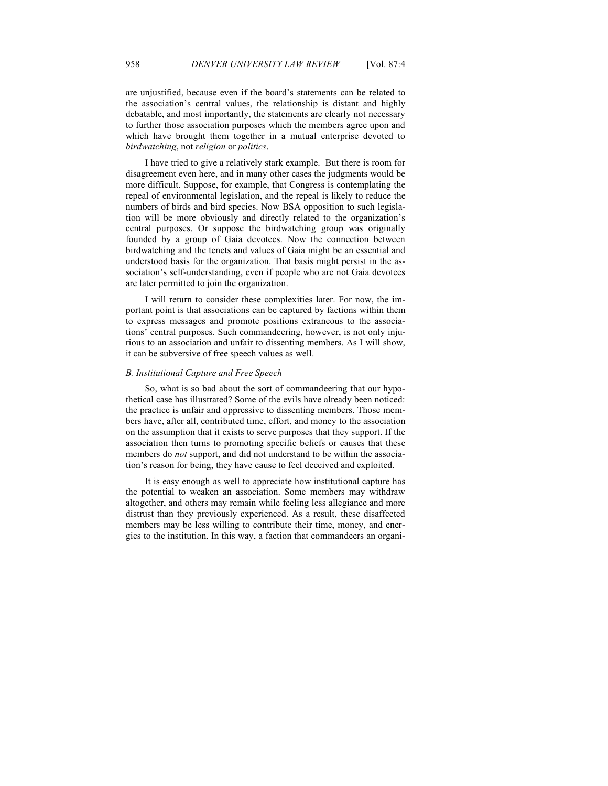are unjustified, because even if the board's statements can be related to the association's central values, the relationship is distant and highly debatable, and most importantly, the statements are clearly not necessary to further those association purposes which the members agree upon and which have brought them together in a mutual enterprise devoted to *birdwatching*, not *religion* or *politics*.

I have tried to give a relatively stark example. But there is room for disagreement even here, and in many other cases the judgments would be more difficult. Suppose, for example, that Congress is contemplating the repeal of environmental legislation, and the repeal is likely to reduce the numbers of birds and bird species. Now BSA opposition to such legislation will be more obviously and directly related to the organization's central purposes. Or suppose the birdwatching group was originally founded by a group of Gaia devotees. Now the connection between birdwatching and the tenets and values of Gaia might be an essential and understood basis for the organization. That basis might persist in the association's self-understanding, even if people who are not Gaia devotees are later permitted to join the organization.

I will return to consider these complexities later. For now, the important point is that associations can be captured by factions within them to express messages and promote positions extraneous to the associations' central purposes. Such commandeering, however, is not only injurious to an association and unfair to dissenting members. As I will show, it can be subversive of free speech values as well.

## *B. Institutional Capture and Free Speech*

So, what is so bad about the sort of commandeering that our hypothetical case has illustrated? Some of the evils have already been noticed: the practice is unfair and oppressive to dissenting members. Those members have, after all, contributed time, effort, and money to the association on the assumption that it exists to serve purposes that they support. If the association then turns to promoting specific beliefs or causes that these members do *not* support, and did not understand to be within the association's reason for being, they have cause to feel deceived and exploited.

It is easy enough as well to appreciate how institutional capture has the potential to weaken an association. Some members may withdraw altogether, and others may remain while feeling less allegiance and more distrust than they previously experienced. As a result, these disaffected members may be less willing to contribute their time, money, and energies to the institution. In this way, a faction that commandeers an organi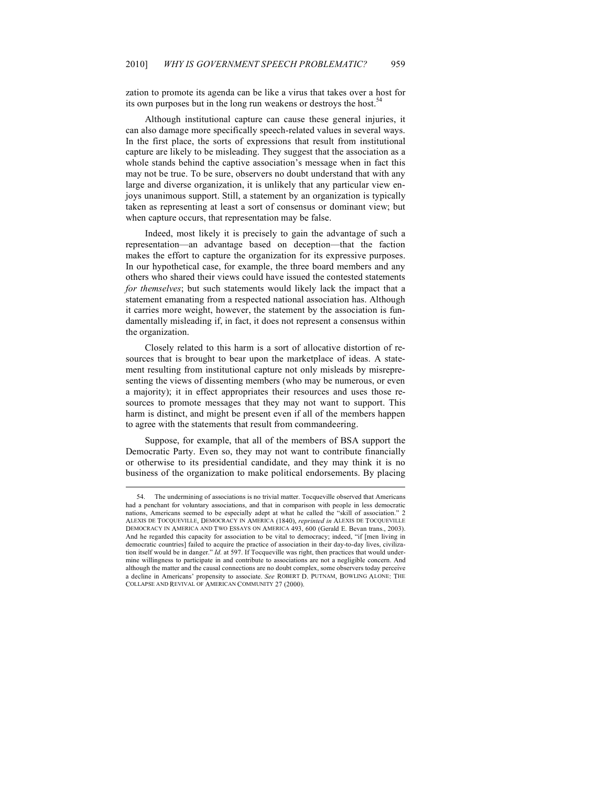zation to promote its agenda can be like a virus that takes over a host for its own purposes but in the long run weakens or destroys the host.<sup>54</sup>

Although institutional capture can cause these general injuries, it can also damage more specifically speech-related values in several ways. In the first place, the sorts of expressions that result from institutional capture are likely to be misleading. They suggest that the association as a whole stands behind the captive association's message when in fact this may not be true. To be sure, observers no doubt understand that with any large and diverse organization, it is unlikely that any particular view enjoys unanimous support. Still, a statement by an organization is typically taken as representing at least a sort of consensus or dominant view; but when capture occurs, that representation may be false.

Indeed, most likely it is precisely to gain the advantage of such a representation—an advantage based on deception—that the faction makes the effort to capture the organization for its expressive purposes. In our hypothetical case, for example, the three board members and any others who shared their views could have issued the contested statements *for themselves*; but such statements would likely lack the impact that a statement emanating from a respected national association has. Although it carries more weight, however, the statement by the association is fundamentally misleading if, in fact, it does not represent a consensus within the organization.

Closely related to this harm is a sort of allocative distortion of resources that is brought to bear upon the marketplace of ideas. A statement resulting from institutional capture not only misleads by misrepresenting the views of dissenting members (who may be numerous, or even a majority); it in effect appropriates their resources and uses those resources to promote messages that they may not want to support. This harm is distinct, and might be present even if all of the members happen to agree with the statements that result from commandeering.

Suppose, for example, that all of the members of BSA support the Democratic Party. Even so, they may not want to contribute financially or otherwise to its presidential candidate, and they may think it is no business of the organization to make political endorsements. By placing

<sup>54.</sup> The undermining of associations is no trivial matter. Tocqueville observed that Americans had a penchant for voluntary associations, and that in comparison with people in less democratic nations, Americans seemed to be especially adept at what he called the "skill of association." 2 ALEXIS DE TOCQUEVILLE, DEMOCRACY IN AMERICA (1840), *reprinted in* ALEXIS DE TOCQUEVILLE DEMOCRACY IN AMERICA AND TWO ESSAYS ON AMERICA 493, 600 (Gerald E. Bevan trans., 2003). And he regarded this capacity for association to be vital to democracy; indeed, "if [men living in democratic countries] failed to acquire the practice of association in their day-to-day lives, civilization itself would be in danger." *Id.* at 597. If Tocqueville was right, then practices that would undermine willingness to participate in and contribute to associations are not a negligible concern. And although the matter and the causal connections are no doubt complex, some observers today perceive a decline in Americans' propensity to associate. *See* ROBERT D. PUTNAM, BOWLING ALONE: THE COLLAPSE AND REVIVAL OF AMERICAN COMMUNITY 27 (2000).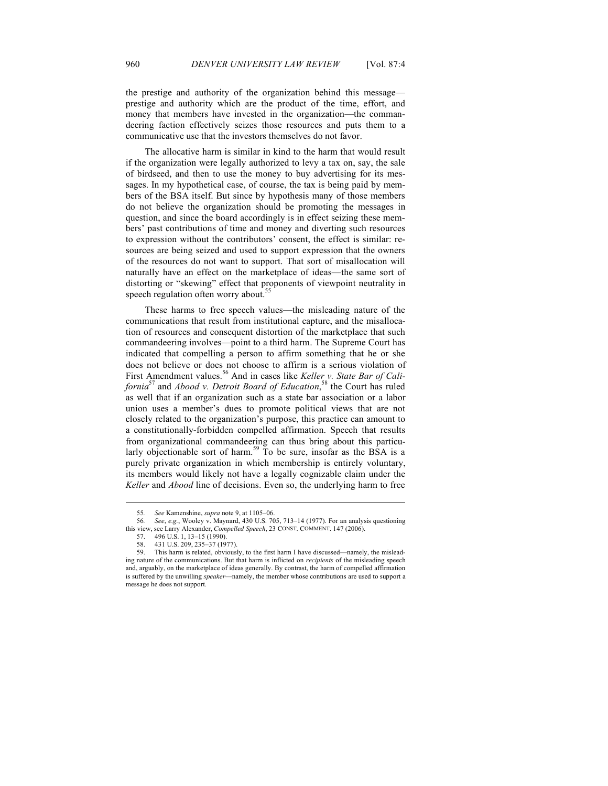the prestige and authority of the organization behind this message prestige and authority which are the product of the time, effort, and money that members have invested in the organization—the commandeering faction effectively seizes those resources and puts them to a communicative use that the investors themselves do not favor.

The allocative harm is similar in kind to the harm that would result if the organization were legally authorized to levy a tax on, say, the sale of birdseed, and then to use the money to buy advertising for its messages. In my hypothetical case, of course, the tax is being paid by members of the BSA itself. But since by hypothesis many of those members do not believe the organization should be promoting the messages in question, and since the board accordingly is in effect seizing these members' past contributions of time and money and diverting such resources to expression without the contributors' consent, the effect is similar: resources are being seized and used to support expression that the owners of the resources do not want to support. That sort of misallocation will naturally have an effect on the marketplace of ideas—the same sort of distorting or "skewing" effect that proponents of viewpoint neutrality in speech regulation often worry about.<sup>5</sup>

These harms to free speech values—the misleading nature of the communications that result from institutional capture, and the misallocation of resources and consequent distortion of the marketplace that such commandeering involves—point to a third harm. The Supreme Court has indicated that compelling a person to affirm something that he or she does not believe or does not choose to affirm is a serious violation of First Amendment values.<sup>56</sup> And in cases like *Keller v. State Bar of California*57 and *Abood v. Detroit Board of Education*, 58 the Court has ruled as well that if an organization such as a state bar association or a labor union uses a member's dues to promote political views that are not closely related to the organization's purpose, this practice can amount to a constitutionally-forbidden compelled affirmation. Speech that results from organizational commandeering can thus bring about this particularly objectionable sort of harm.<sup>59</sup> To be sure, insofar as the BSA is a purely private organization in which membership is entirely voluntary, its members would likely not have a legally cognizable claim under the *Keller* and *Abood* line of decisions. Even so, the underlying harm to free

<sup>55</sup>*. See* Kamenshine, *supra* note 9, at 1105–06.

<sup>56</sup>*. See*, *e.g.*, Wooley v. Maynard, 430 U.S. 705, 713–14 (1977). For an analysis questioning this view, see Larry Alexander, *Compelled Speech*, 23 CONST. COMMENT. 147 (2006).

<sup>57.</sup> 496 U.S. 1, 13–15 (1990).

<sup>58.</sup> 431 U.S. 209, 235–37 (1977).

This harm is related, obviously, to the first harm I have discussed—namely, the misleading nature of the communications. But that harm is inflicted on *recipients* of the misleading speech and, arguably, on the marketplace of ideas generally. By contrast, the harm of compelled affirmation is suffered by the unwilling *speaker*—namely, the member whose contributions are used to support a message he does not support.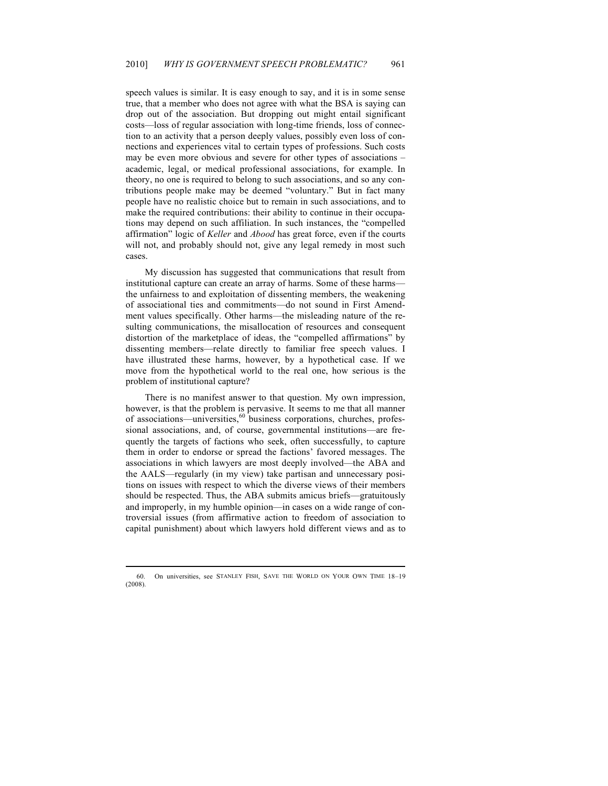speech values is similar. It is easy enough to say, and it is in some sense true, that a member who does not agree with what the BSA is saying can drop out of the association. But dropping out might entail significant costs—loss of regular association with long-time friends, loss of connection to an activity that a person deeply values, possibly even loss of connections and experiences vital to certain types of professions. Such costs may be even more obvious and severe for other types of associations – academic, legal, or medical professional associations, for example. In theory, no one is required to belong to such associations, and so any contributions people make may be deemed "voluntary." But in fact many people have no realistic choice but to remain in such associations, and to make the required contributions: their ability to continue in their occupations may depend on such affiliation. In such instances, the "compelled affirmation" logic of *Keller* and *Abood* has great force, even if the courts will not, and probably should not, give any legal remedy in most such cases.

My discussion has suggested that communications that result from institutional capture can create an array of harms. Some of these harms the unfairness to and exploitation of dissenting members, the weakening of associational ties and commitments—do not sound in First Amendment values specifically. Other harms—the misleading nature of the resulting communications, the misallocation of resources and consequent distortion of the marketplace of ideas, the "compelled affirmations" by dissenting members—relate directly to familiar free speech values. I have illustrated these harms, however, by a hypothetical case. If we move from the hypothetical world to the real one, how serious is the problem of institutional capture?

There is no manifest answer to that question. My own impression, however, is that the problem is pervasive. It seems to me that all manner of associations—universities, $60 \text{ business corporations}$ , churches, professional associations, and, of course, governmental institutions—are frequently the targets of factions who seek, often successfully, to capture them in order to endorse or spread the factions' favored messages. The associations in which lawyers are most deeply involved—the ABA and the AALS—regularly (in my view) take partisan and unnecessary positions on issues with respect to which the diverse views of their members should be respected. Thus, the ABA submits amicus briefs—gratuitously and improperly, in my humble opinion—in cases on a wide range of controversial issues (from affirmative action to freedom of association to capital punishment) about which lawyers hold different views and as to

<sup>60.</sup> On universities, see STANLEY FISH, SAVE THE WORLD ON YOUR OWN TIME 18–19 (2008).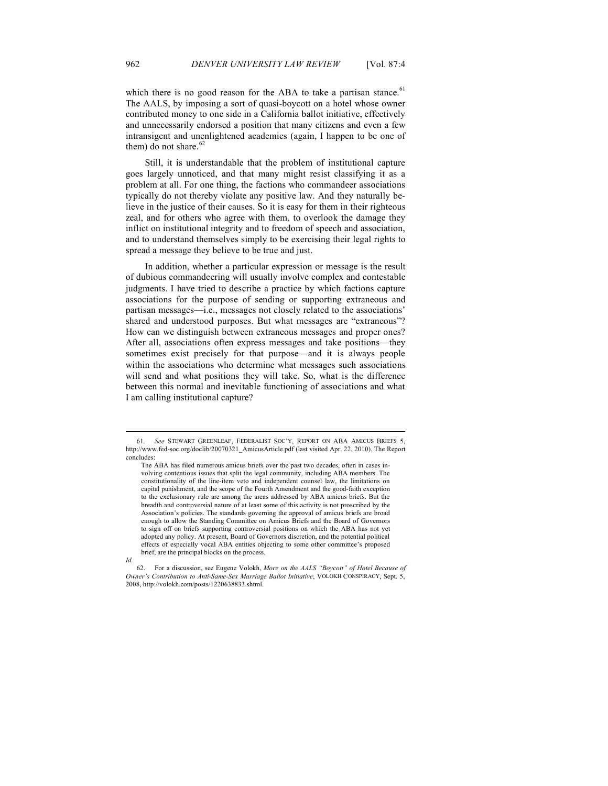which there is no good reason for the ABA to take a partisan stance.<sup>61</sup> The AALS, by imposing a sort of quasi-boycott on a hotel whose owner contributed money to one side in a California ballot initiative, effectively and unnecessarily endorsed a position that many citizens and even a few intransigent and unenlightened academics (again, I happen to be one of them) do not share.<sup>62</sup>

Still, it is understandable that the problem of institutional capture goes largely unnoticed, and that many might resist classifying it as a problem at all. For one thing, the factions who commandeer associations typically do not thereby violate any positive law. And they naturally believe in the justice of their causes. So it is easy for them in their righteous zeal, and for others who agree with them, to overlook the damage they inflict on institutional integrity and to freedom of speech and association, and to understand themselves simply to be exercising their legal rights to spread a message they believe to be true and just.

In addition, whether a particular expression or message is the result of dubious commandeering will usually involve complex and contestable judgments. I have tried to describe a practice by which factions capture associations for the purpose of sending or supporting extraneous and partisan messages—i.e., messages not closely related to the associations' shared and understood purposes. But what messages are "extraneous"? How can we distinguish between extraneous messages and proper ones? After all, associations often express messages and take positions—they sometimes exist precisely for that purpose—and it is always people within the associations who determine what messages such associations will send and what positions they will take. So, what is the difference between this normal and inevitable functioning of associations and what I am calling institutional capture?

<sup>61</sup>*. See* STEWART GREENLEAF, FEDERALIST SOC'Y, REPORT ON ABA AMICUS BRIEFS 5, http://www.fed-soc.org/doclib/20070321\_AmicusArticle.pdf (last visited Apr. 22, 2010). The Report concludes:

The ABA has filed numerous amicus briefs over the past two decades, often in cases involving contentious issues that split the legal community, including ABA members. The constitutionality of the line-item veto and independent counsel law, the limitations on capital punishment, and the scope of the Fourth Amendment and the good-faith exception to the exclusionary rule are among the areas addressed by ABA amicus briefs. But the breadth and controversial nature of at least some of this activity is not proscribed by the Association's policies. The standards governing the approval of amicus briefs are broad enough to allow the Standing Committee on Amicus Briefs and the Board of Governors to sign off on briefs supporting controversial positions on which the ABA has not yet adopted any policy. At present, Board of Governors discretion, and the potential political effects of especially vocal ABA entities objecting to some other committee's proposed brief, are the principal blocks on the process.

*Id.*

<sup>62.</sup> For a discussion, see Eugene Volokh, *More on the AALS "Boycott" of Hotel Because of Owner's Contribution to Anti-Same-Sex Marriage Ballot Initiative*, VOLOKH CONSPIRACY, Sept. 5, 2008, http://volokh.com/posts/1220638833.shtml.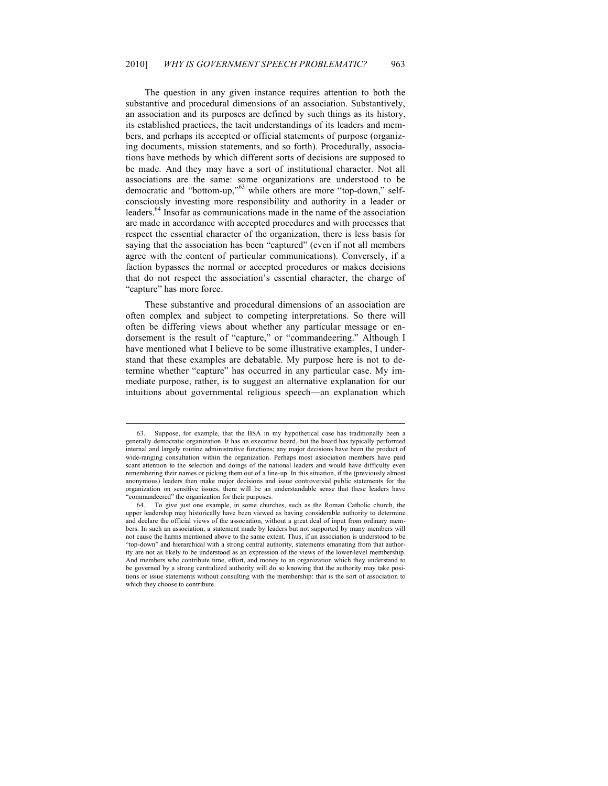The question in any given instance requires attention to both the substantive and procedural dimensions of an association. Substantively, an association and its purposes are defined by such things as its history, its established practices, the tacit understandings of its leaders and members, and perhaps its accepted or official statements of purpose (organizing documents, mission statements, and so forth). Procedurally, associations have methods by which different sorts of decisions are supposed to be made. And they may have a sort of institutional character. Not all associations are the same: some organizations are understood to be democratic and "bottom-up,"<sup>63</sup> while others are more "top-down," selfconsciously investing more responsibility and authority in a leader or leaders.64 Insofar as communications made in the name of the association are made in accordance with accepted procedures and with processes that respect the essential character of the organization, there is less basis for saying that the association has been "captured" (even if not all members agree with the content of particular communications). Conversely, if a faction bypasses the normal or accepted procedures or makes decisions that do not respect the association's essential character, the charge of "capture" has more force.

These substantive and procedural dimensions of an association are often complex and subject to competing interpretations. So there will often be differing views about whether any particular message or endorsement is the result of "capture," or "commandeering." Although I have mentioned what I believe to be some illustrative examples, I understand that these examples are debatable. My purpose here is not to determine whether "capture" has occurred in any particular case. My immediate purpose, rather, is to suggest an alternative explanation for our intuitions about governmental religious speech—an explanation which

<sup>63.</sup> Suppose, for example, that the BSA in my hypothetical case has traditionally been a generally democratic organization. It has an executive board, but the board has typically performed internal and largely routine administrative functions; any major decisions have been the product of wide-ranging consultation within the organization. Perhaps most association members have paid scant attention to the selection and doings of the national leaders and would have difficulty even remembering their names or picking them out of a line-up. In this situation, if the (previously almost anonymous) leaders then make major decisions and issue controversial public statements for the organization on sensitive issues, there will be an understandable sense that these leaders have "commandeered" the organization for their purposes.

<sup>64.</sup> To give just one example, in some churches, such as the Roman Catholic church, the upper leadership may historically have been viewed as having considerable authority to determine and declare the official views of the association, without a great deal of input from ordinary members. In such an association, a statement made by leaders but not supported by many members will not cause the harms mentioned above to the same extent. Thus, if an association is understood to be "top-down" and hierarchical with a strong central authority, statements emanating from that authority are not as likely to be understood as an expression of the views of the lower-level membership. And members who contribute time, effort, and money to an organization which they understand to be governed by a strong centralized authority will do so knowing that the authority may take positions or issue statements without consulting with the membership: that is the sort of association to which they choose to contribute.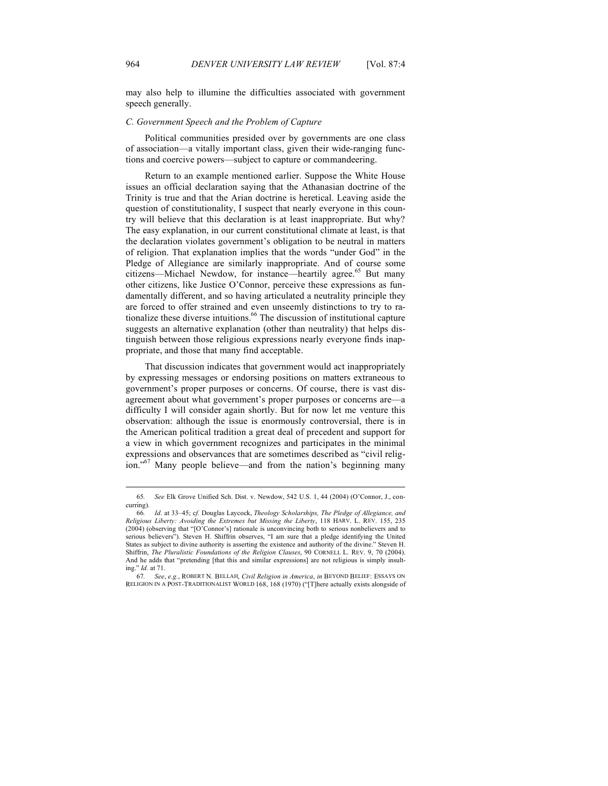may also help to illumine the difficulties associated with government speech generally.

#### *C. Government Speech and the Problem of Capture*

Political communities presided over by governments are one class of association—a vitally important class, given their wide-ranging functions and coercive powers—subject to capture or commandeering.

Return to an example mentioned earlier. Suppose the White House issues an official declaration saying that the Athanasian doctrine of the Trinity is true and that the Arian doctrine is heretical. Leaving aside the question of constitutionality, I suspect that nearly everyone in this country will believe that this declaration is at least inappropriate. But why? The easy explanation, in our current constitutional climate at least, is that the declaration violates government's obligation to be neutral in matters of religion. That explanation implies that the words "under God" in the Pledge of Allegiance are similarly inappropriate. And of course some citizens—Michael Newdow, for instance—heartily agree.<sup>65</sup> But many other citizens, like Justice O'Connor, perceive these expressions as fundamentally different, and so having articulated a neutrality principle they are forced to offer strained and even unseemly distinctions to try to rationalize these diverse intuitions.<sup>66</sup> The discussion of institutional capture suggests an alternative explanation (other than neutrality) that helps distinguish between those religious expressions nearly everyone finds inappropriate, and those that many find acceptable.

That discussion indicates that government would act inappropriately by expressing messages or endorsing positions on matters extraneous to government's proper purposes or concerns. Of course, there is vast disagreement about what government's proper purposes or concerns are—a difficulty I will consider again shortly. But for now let me venture this observation: although the issue is enormously controversial, there is in the American political tradition a great deal of precedent and support for a view in which government recognizes and participates in the minimal expressions and observances that are sometimes described as "civil religion."<sup>67</sup> Many people believe—and from the nation's beginning many

<sup>65</sup>*. See* Elk Grove Unified Sch. Dist. v. Newdow, 542 U.S. 1, 44 (2004) (O'Connor, J., concurring).

<sup>66</sup>*. Id.* at 33–45; c*f.* Douglas Laycock, *Theology Scholarships, The Pledge of Allegiance, and Religious Liberty: Avoiding the Extremes but Missing the Liberty*, 118 HARV. L. REV. 155, 235 (2004) (observing that "[O'Connor's] rationale is unconvincing both to serious nonbelievers and to serious believers"). Steven H. Shiffrin observes, "I am sure that a pledge identifying the United States as subject to divine authority is asserting the existence and authority of the divine." Steven H. Shiffrin, *The Pluralistic Foundations of the Religion Clauses*, 90 CORNELL L. REV. 9, 70 (2004). And he adds that "pretending [that this and similar expressions] are not religious is simply insulting." *Id.* at 71.

<sup>67</sup>*. See*, *e.g.*, ROBERT N. BELLAH, *Civil Religion in America*, *in* BEYOND BELIEF: ESSAYS ON RELIGION IN A POST-TRADITIONALIST WORLD 168, 168 (1970) ("[T]here actually exists alongside of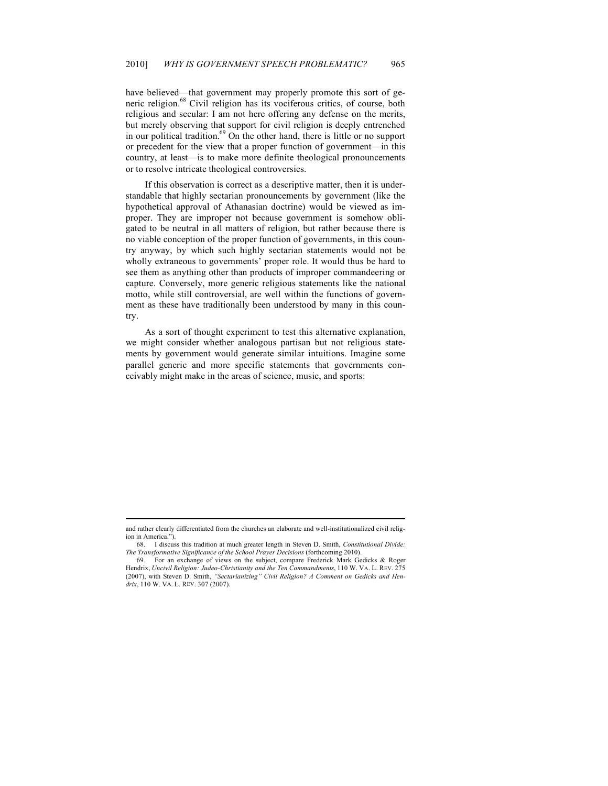have believed—that government may properly promote this sort of generic religion.<sup>68</sup> Civil religion has its vociferous critics, of course, both religious and secular: I am not here offering any defense on the merits, but merely observing that support for civil religion is deeply entrenched in our political tradition.<sup>69</sup> On the other hand, there is little or no support or precedent for the view that a proper function of government—in this country, at least—is to make more definite theological pronouncements or to resolve intricate theological controversies.

If this observation is correct as a descriptive matter, then it is understandable that highly sectarian pronouncements by government (like the hypothetical approval of Athanasian doctrine) would be viewed as improper. They are improper not because government is somehow obligated to be neutral in all matters of religion, but rather because there is no viable conception of the proper function of governments, in this country anyway, by which such highly sectarian statements would not be wholly extraneous to governments' proper role. It would thus be hard to see them as anything other than products of improper commandeering or capture. Conversely, more generic religious statements like the national motto, while still controversial, are well within the functions of government as these have traditionally been understood by many in this country.

As a sort of thought experiment to test this alternative explanation, we might consider whether analogous partisan but not religious statements by government would generate similar intuitions. Imagine some parallel generic and more specific statements that governments conceivably might make in the areas of science, music, and sports:

and rather clearly differentiated from the churches an elaborate and well-institutionalized civil religion in America.")

<sup>68.</sup> I discuss this tradition at much greater length in Steven D. Smith, *Constitutional Divide: The Transformative Significance of the School Prayer Decisions* (forthcoming 2010).

For an exchange of views on the subject, compare Frederick Mark Gedicks & Roger Hendrix, *Uncivil Religion: Judeo-Christianity and the Ten Commandments*, 110 W. VA. L. REV. 275 (2007), with Steven D. Smith, *"Sectarianizing" Civil Religion? A Comment on Gedicks and Hendrix*, 110 W. VA. L. REV. 307 (2007).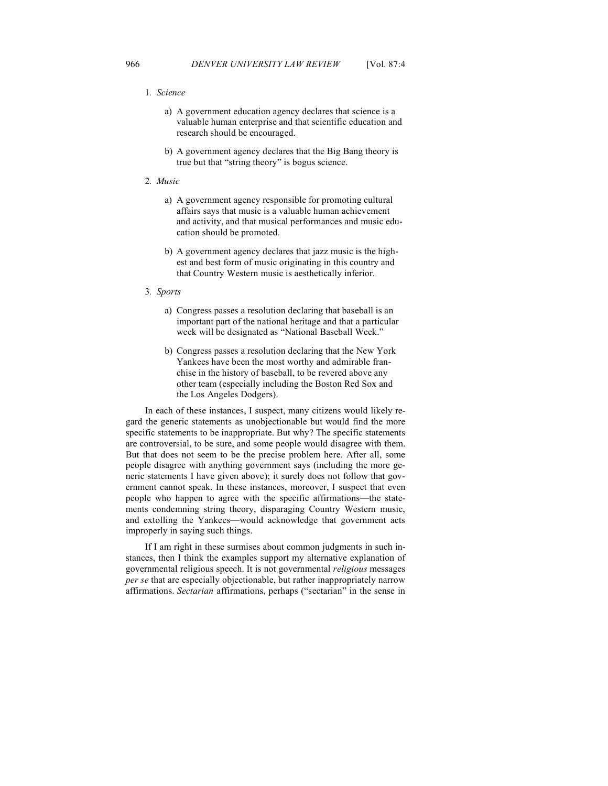#### 1*. Science*

- a) A government education agency declares that science is a valuable human enterprise and that scientific education and research should be encouraged.
- b) A government agency declares that the Big Bang theory is true but that "string theory" is bogus science.

#### 2*. Music*

- a) A government agency responsible for promoting cultural affairs says that music is a valuable human achievement and activity, and that musical performances and music education should be promoted.
- b) A government agency declares that jazz music is the highest and best form of music originating in this country and that Country Western music is aesthetically inferior.

#### 3*. Sports*

- a) Congress passes a resolution declaring that baseball is an important part of the national heritage and that a particular week will be designated as "National Baseball Week."
- b) Congress passes a resolution declaring that the New York Yankees have been the most worthy and admirable franchise in the history of baseball, to be revered above any other team (especially including the Boston Red Sox and the Los Angeles Dodgers).

In each of these instances, I suspect, many citizens would likely regard the generic statements as unobjectionable but would find the more specific statements to be inappropriate. But why? The specific statements are controversial, to be sure, and some people would disagree with them. But that does not seem to be the precise problem here. After all, some people disagree with anything government says (including the more generic statements I have given above); it surely does not follow that government cannot speak. In these instances, moreover, I suspect that even people who happen to agree with the specific affirmations—the statements condemning string theory, disparaging Country Western music, and extolling the Yankees—would acknowledge that government acts improperly in saying such things.

If I am right in these surmises about common judgments in such instances, then I think the examples support my alternative explanation of governmental religious speech. It is not governmental *religious* messages *per se* that are especially objectionable, but rather inappropriately narrow affirmations. *Sectarian* affirmations, perhaps ("sectarian" in the sense in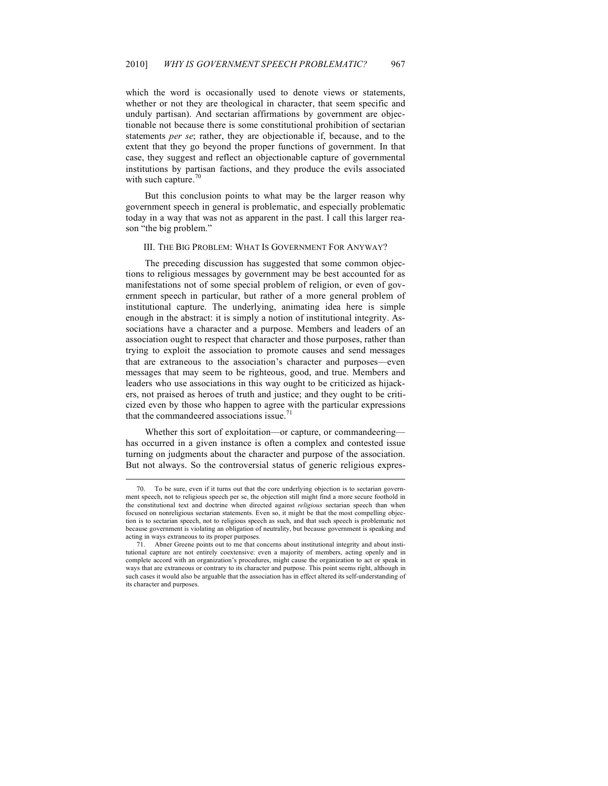which the word is occasionally used to denote views or statements, whether or not they are theological in character, that seem specific and unduly partisan). And sectarian affirmations by government are objectionable not because there is some constitutional prohibition of sectarian statements *per se*; rather, they are objectionable if, because, and to the extent that they go beyond the proper functions of government. In that case, they suggest and reflect an objectionable capture of governmental institutions by partisan factions, and they produce the evils associated with such capture. $\frac{70}{6}$ 

But this conclusion points to what may be the larger reason why government speech in general is problematic, and especially problematic today in a way that was not as apparent in the past. I call this larger reason "the big problem."

#### III. THE BIG PROBLEM: WHAT IS GOVERNMENT FOR ANYWAY?

The preceding discussion has suggested that some common objections to religious messages by government may be best accounted for as manifestations not of some special problem of religion, or even of government speech in particular, but rather of a more general problem of institutional capture. The underlying, animating idea here is simple enough in the abstract: it is simply a notion of institutional integrity. Associations have a character and a purpose. Members and leaders of an association ought to respect that character and those purposes, rather than trying to exploit the association to promote causes and send messages that are extraneous to the association's character and purposes—even messages that may seem to be righteous, good, and true. Members and leaders who use associations in this way ought to be criticized as hijackers, not praised as heroes of truth and justice; and they ought to be criticized even by those who happen to agree with the particular expressions that the commandeered associations issue.<sup>71</sup>

Whether this sort of exploitation—or capture, or commandeering has occurred in a given instance is often a complex and contested issue turning on judgments about the character and purpose of the association. But not always. So the controversial status of generic religious expres-

<sup>70.</sup> To be sure, even if it turns out that the core underlying objection is to sectarian government speech, not to religious speech per se, the objection still might find a more secure foothold in the constitutional text and doctrine when directed against *religious* sectarian speech than when focused on nonreligious sectarian statements. Even so, it might be that the most compelling objection is to sectarian speech, not to religious speech as such, and that such speech is problematic not because government is violating an obligation of neutrality, but because government is speaking and acting in ways extraneous to its proper purposes.

Abner Greene points out to me that concerns about institutional integrity and about institutional capture are not entirely coextensive: even a majority of members, acting openly and in complete accord with an organization's procedures, might cause the organization to act or speak in ways that are extraneous or contrary to its character and purpose. This point seems right, although in such cases it would also be arguable that the association has in effect altered its self-understanding of its character and purposes.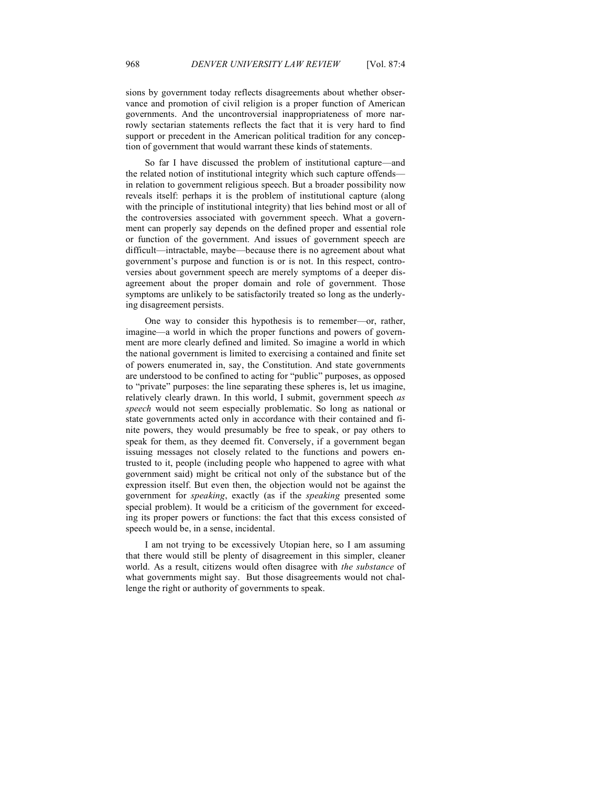sions by government today reflects disagreements about whether observance and promotion of civil religion is a proper function of American governments. And the uncontroversial inappropriateness of more narrowly sectarian statements reflects the fact that it is very hard to find support or precedent in the American political tradition for any conception of government that would warrant these kinds of statements.

So far I have discussed the problem of institutional capture—and the related notion of institutional integrity which such capture offends in relation to government religious speech. But a broader possibility now reveals itself: perhaps it is the problem of institutional capture (along with the principle of institutional integrity) that lies behind most or all of the controversies associated with government speech. What a government can properly say depends on the defined proper and essential role or function of the government. And issues of government speech are difficult—intractable, maybe—because there is no agreement about what government's purpose and function is or is not. In this respect, controversies about government speech are merely symptoms of a deeper disagreement about the proper domain and role of government. Those symptoms are unlikely to be satisfactorily treated so long as the underlying disagreement persists.

One way to consider this hypothesis is to remember—or, rather, imagine—a world in which the proper functions and powers of government are more clearly defined and limited. So imagine a world in which the national government is limited to exercising a contained and finite set of powers enumerated in, say, the Constitution. And state governments are understood to be confined to acting for "public" purposes, as opposed to "private" purposes: the line separating these spheres is, let us imagine, relatively clearly drawn. In this world, I submit, government speech *as speech* would not seem especially problematic. So long as national or state governments acted only in accordance with their contained and finite powers, they would presumably be free to speak, or pay others to speak for them, as they deemed fit. Conversely, if a government began issuing messages not closely related to the functions and powers entrusted to it, people (including people who happened to agree with what government said) might be critical not only of the substance but of the expression itself. But even then, the objection would not be against the government for *speaking*, exactly (as if the *speaking* presented some special problem). It would be a criticism of the government for exceeding its proper powers or functions: the fact that this excess consisted of speech would be, in a sense, incidental.

I am not trying to be excessively Utopian here, so I am assuming that there would still be plenty of disagreement in this simpler, cleaner world. As a result, citizens would often disagree with *the substance* of what governments might say. But those disagreements would not challenge the right or authority of governments to speak.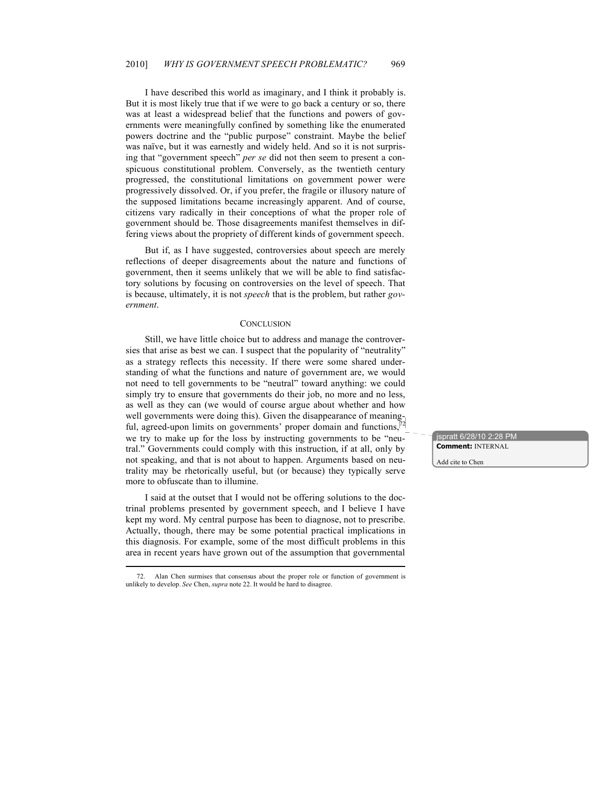I have described this world as imaginary, and I think it probably is. But it is most likely true that if we were to go back a century or so, there was at least a widespread belief that the functions and powers of governments were meaningfully confined by something like the enumerated powers doctrine and the "public purpose" constraint. Maybe the belief was naïve, but it was earnestly and widely held. And so it is not surprising that "government speech" *per se* did not then seem to present a conspicuous constitutional problem. Conversely, as the twentieth century progressed, the constitutional limitations on government power were progressively dissolved. Or, if you prefer, the fragile or illusory nature of the supposed limitations became increasingly apparent. And of course, citizens vary radically in their conceptions of what the proper role of government should be. Those disagreements manifest themselves in differing views about the propriety of different kinds of government speech.

But if, as I have suggested, controversies about speech are merely reflections of deeper disagreements about the nature and functions of government, then it seems unlikely that we will be able to find satisfactory solutions by focusing on controversies on the level of speech. That is because, ultimately, it is not *speech* that is the problem, but rather *government*.

#### **CONCLUSION**

Still, we have little choice but to address and manage the controversies that arise as best we can. I suspect that the popularity of "neutrality" as a strategy reflects this necessity. If there were some shared understanding of what the functions and nature of government are, we would not need to tell governments to be "neutral" toward anything: we could simply try to ensure that governments do their job, no more and no less, as well as they can (we would of course argue about whether and how as well as they can two women of comparisons and the disappearance of meaning-<br>well governments were doing this). Given the disappearance of meaning-<br> $\sqrt{2}$ ful, agreed-upon limits on governments' proper domain and functions, we try to make up for the loss by instructing governments to be "neutral." Governments could comply with this instruction, if at all, only by not speaking, and that is not about to happen. Arguments based on neutrality may be rhetorically useful, but (or because) they typically serve more to obfuscate than to illumine.

I said at the outset that I would not be offering solutions to the doctrinal problems presented by government speech, and I believe I have kept my word. My central purpose has been to diagnose, not to prescribe. Actually, though, there may be some potential practical implications in this diagnosis. For example, some of the most difficult problems in this area in recent years have grown out of the assumption that governmental

jspratt 6/28/10 2:28 PM **Comment:** INTERNAL

Add cite to Chen

Alan Chen surmises that consensus about the proper role or function of government is unlikely to develop. *See* Chen, *supra* note 22. It would be hard to disagree.